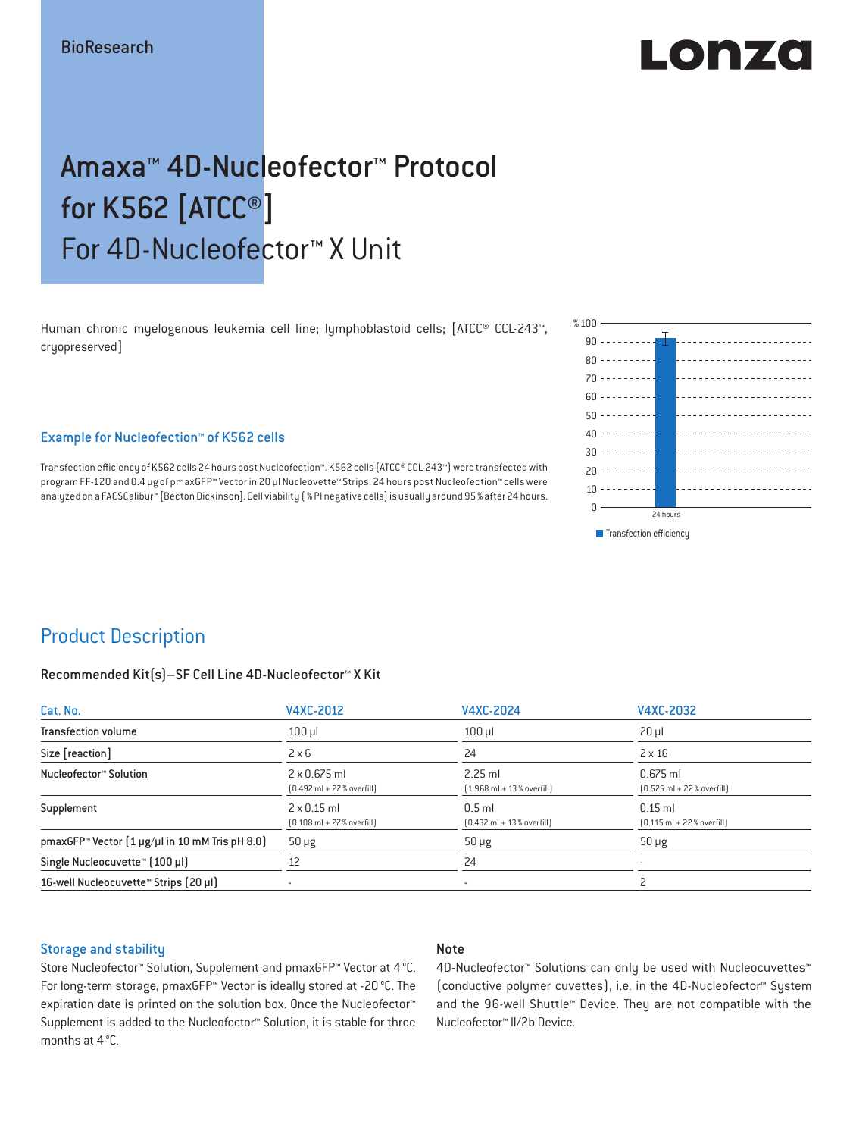# $\blacksquare$  $\blacksquare$

## Amaxa™ 4D-Nucleofector™ Protocol for K562 [ATCC®] For 4D-Nucleofector™ X Unit

Human chronic myelogenous leukemia cell line; lymphoblastoid cells; [ATCC® CCL-243™, cryopreserved]

#### Example for Nucleofection™ of K562 cells

Transfection efficiency of K562 cells 24 hours post Nucleofection™. K562 cells (ATCC® CCL-243™) were transfected with program FF-120 and 0.4 μg of pmaxGFP™ Vector in 20 µl Nucleovette™ Strips. 24 hours post Nucleofection™ cells were analyzed on a FACSCalibur™ [Becton Dickinson]. Cell viability (% PI negative cells) is usually around 95% after 24 hours.



## Product Description

#### Recommended Kit(s)–SF Cell Line 4D-Nucleofector™ X Kit

| Cat. No.                                                          | V4XC-2012                                                           | V4XC-2024                                                | V4XC-2032                                                  |  |
|-------------------------------------------------------------------|---------------------------------------------------------------------|----------------------------------------------------------|------------------------------------------------------------|--|
| <b>Transfection volume</b>                                        | $100$ $\mu$                                                         | $100$ $\mu$                                              | $20 \mu$                                                   |  |
| Size [reaction]                                                   | $2 \times 6$                                                        | 24                                                       | $2 \times 16$                                              |  |
| Nucleofector™ Solution                                            | $2 \times 0.675$ ml<br>$[0.492 \text{ ml} + 27 \text{ %} overfill]$ | $2.25$ ml<br>$[1.968 \text{ ml} + 13 % \text{overfill}]$ | $0.675$ ml<br>$[0.525 \text{ ml} + 22 \text{ % overfill}]$ |  |
| Supplement                                                        | $2 \times 0.15$ ml<br>$[0.108 \text{ ml} + 27 \text{ %} overfill]$  | $0.5$ ml<br>$[0.432 \text{ ml} + 13 \text{ %} overfill]$ | $0.15$ ml<br>$[0.115 \text{ ml} + 22 \text{ % overfill}]$  |  |
| pmaxGFP <sup>*</sup> Vector $(1 \mu g/\mu)$ in 10 mM Tris pH 8.0) | $50 \mu g$                                                          | $50 \mu g$                                               | $50 \mu g$                                                 |  |
| Single Nucleocuvette™ (100 µl)                                    | 12                                                                  | 24                                                       |                                                            |  |
| 16-well Nucleocuvette <sup>™</sup> Strips [20 µl]                 | $\overline{\phantom{a}}$                                            | $\sim$                                                   |                                                            |  |

#### Storage and stability

#### Note

Store Nucleofector™ Solution, Supplement and pmaxGFP™ Vector at 4°C. For long-term storage, pmaxGFP™ Vector is ideally stored at -20 °C. The expiration date is printed on the solution box. Once the Nucleofector™ Supplement is added to the Nucleofector™ Solution, it is stable for three months at 4°C.

4D-Nucleofector™ Solutions can only be used with Nucleocuvettes™ (conductive polymer cuvettes), i.e. in the 4D-Nucleofector™ System and the 96-well Shuttle™ Device. They are not compatible with the Nucleofector™ II/2b Device.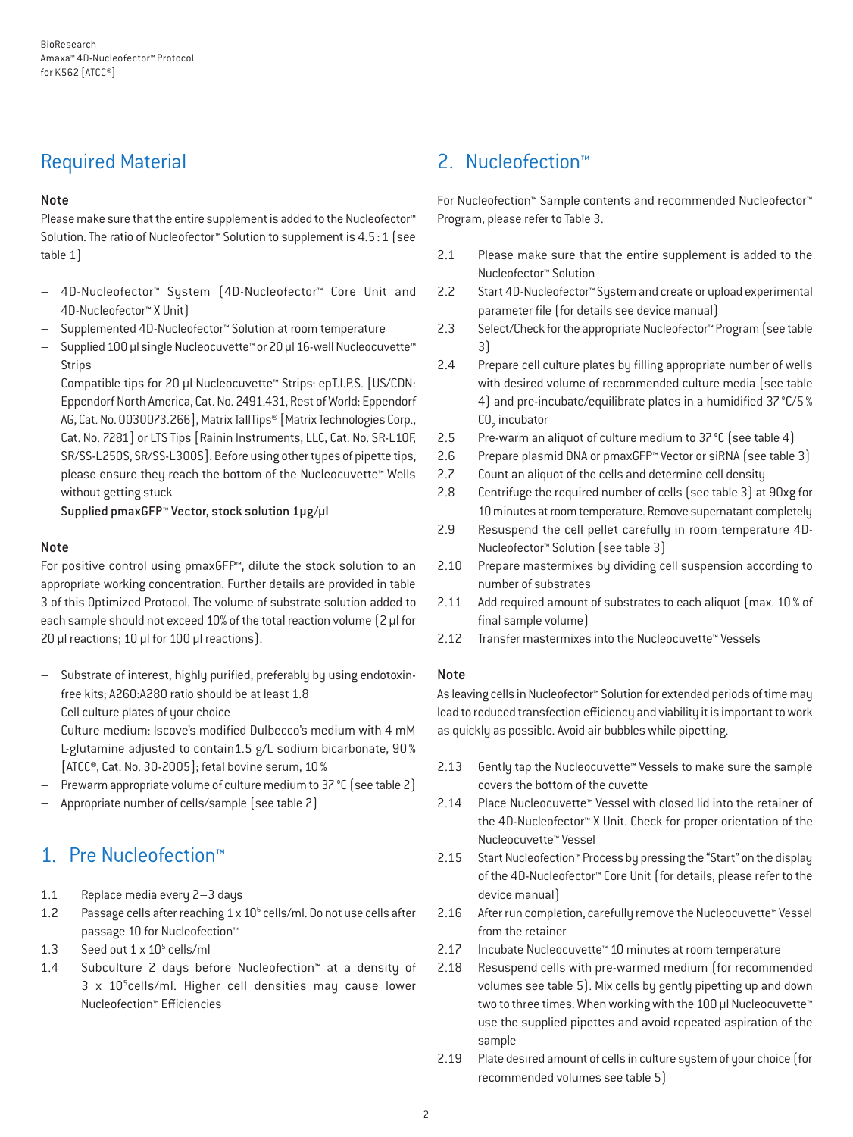## Required Material

#### Note

Please make sure that the entire supplement is added to the Nucleofector<sup>™</sup> Solution. The ratio of Nucleofector™ Solution to supplement is 4.5:1 (see table 1)

- 4D-Nucleofector™ System (4D-Nucleofector™ Core Unit and 4D-Nucleofector™ X Unit)
- Supplemented 4D-Nucleofector™ Solution at room temperature
- Supplied 100 µl single Nucleocuvette™ or 20 µl 16-well Nucleocuvette™ Strips
- Compatible tips for 20 µl Nucleocuvette™ Strips: epT.I.P.S. [US/CDN: Eppendorf North America, Cat. No. 2491.431, Rest of World: Eppendorf AG, Cat. No. 0030073.266], Matrix TallTips® [Matrix Technologies Corp., Cat. No. 7281] or LTS Tips [Rainin Instruments, LLC, Cat. No. SR-L10F, SR/SS-L250S, SR/SS-L300S]. Before using other types of pipette tips, please ensure they reach the bottom of the Nucleocuvette™ Wells without getting stuck
- Supplied pmaxGFP™ Vector, stock solution 1µg/µl

#### Note

For positive control using pmaxGFP™, dilute the stock solution to an appropriate working concentration. Further details are provided in table 3 of this Optimized Protocol. The volume of substrate solution added to each sample should not exceed 10% of the total reaction volume [2 µl for 20 µl reactions; 10 µl for 100 µl reactions).

- Substrate of interest, highly purified, preferably by using endotoxinfree kits; A260:A280 ratio should be at least 1.8
- Cell culture plates of your choice
- Culture medium: Iscove's modified Dulbecco's medium with 4 mM L-glutamine adjusted to contain1.5 g/L sodium bicarbonate, 90% [ATCC®, Cat. No. 30-2005]; fetal bovine serum, 10%
- Prewarm appropriate volume of culture medium to 37 °C (see table 2)
- Appropriate number of cells/sample (see table 2)

## 1. Pre Nucleofection™

- 1.1 Replace media every 2–3 days
- 1.2 Passage cells after reaching  $1 \times 10^6$  cells/ml. Do not use cells after passage 10 for Nucleofection™
- 1.3 Seed out  $1 \times 10^5$  cells/ml
- 1.4 Subculture 2 days before Nucleofection™ at a density of  $3 \times 10^5$ cells/ml. Higher cell densities may cause lower Nucleofection™ Efficiencies

## 2. Nucleofection™

For Nucleofection™ Sample contents and recommended Nucleofector™ Program, please refer to Table 3.

- 2.1 Please make sure that the entire supplement is added to the Nucleofector™ Solution
- 2.2 Start 4D-Nucleofector™ System and create or upload experimental parameter file (for details see device manual)
- 2.3 Select/Check for the appropriate Nucleofector™ Program (see table 3)
- 2.4 Prepare cell culture plates by filling appropriate number of wells with desired volume of recommended culture media (see table 4) and pre-incubate/equilibrate plates in a humidified 37°C/5%  $CO<sub>2</sub>$  incubator
- 2.5 Pre-warm an aliquot of culture medium to 37 °C (see table 4)
- 2.6 Prepare plasmid DNA or pmaxGFP™ Vector or siRNA (see table 3)
- 2.7 Count an aliquot of the cells and determine cell density
- 2.8 Centrifuge the required number of cells (see table 3) at 90xg for 10 minutes at room temperature. Remove supernatant completely
- 2.9 Resuspend the cell pellet carefully in room temperature 4D-Nucleofector™ Solution (see table 3)
- 2.10 Prepare mastermixes by dividing cell suspension according to number of substrates
- 2.11 Add required amount of substrates to each aliquot (max. 10 % of final sample volume)
- 2.12 Transfer mastermixes into the Nucleocuvette™ Vessels

#### Note

As leaving cells in Nucleofector™ Solution for extended periods of time may lead to reduced transfection efficiency and viability it is important to work as quickly as possible. Avoid air bubbles while pipetting.

- 2.13 Gently tap the Nucleocuvette™ Vessels to make sure the sample covers the bottom of the cuvette
- 2.14 Place Nucleocuvette™ Vessel with closed lid into the retainer of the 4D-Nucleofector™ X Unit. Check for proper orientation of the Nucleocuvette™ Vessel
- 2.15 Start Nucleofection™ Process by pressing the "Start" on the display of the 4D-Nucleofector™ Core Unit (for details, please refer to the device manual)
- 2.16 After run completion, carefully remove the Nucleocuvette™ Vessel from the retainer
- 2.17 Incubate Nucleocuvette™ 10 minutes at room temperature
- 2.18 Resuspend cells with pre-warmed medium (for recommended volumes see table 5). Mix cells by gently pipetting up and down two to three times. When working with the 100 µl Nucleocuvette™ use the supplied pipettes and avoid repeated aspiration of the sample
- 2.19 Plate desired amount of cells in culture system of your choice (for recommended volumes see table 5)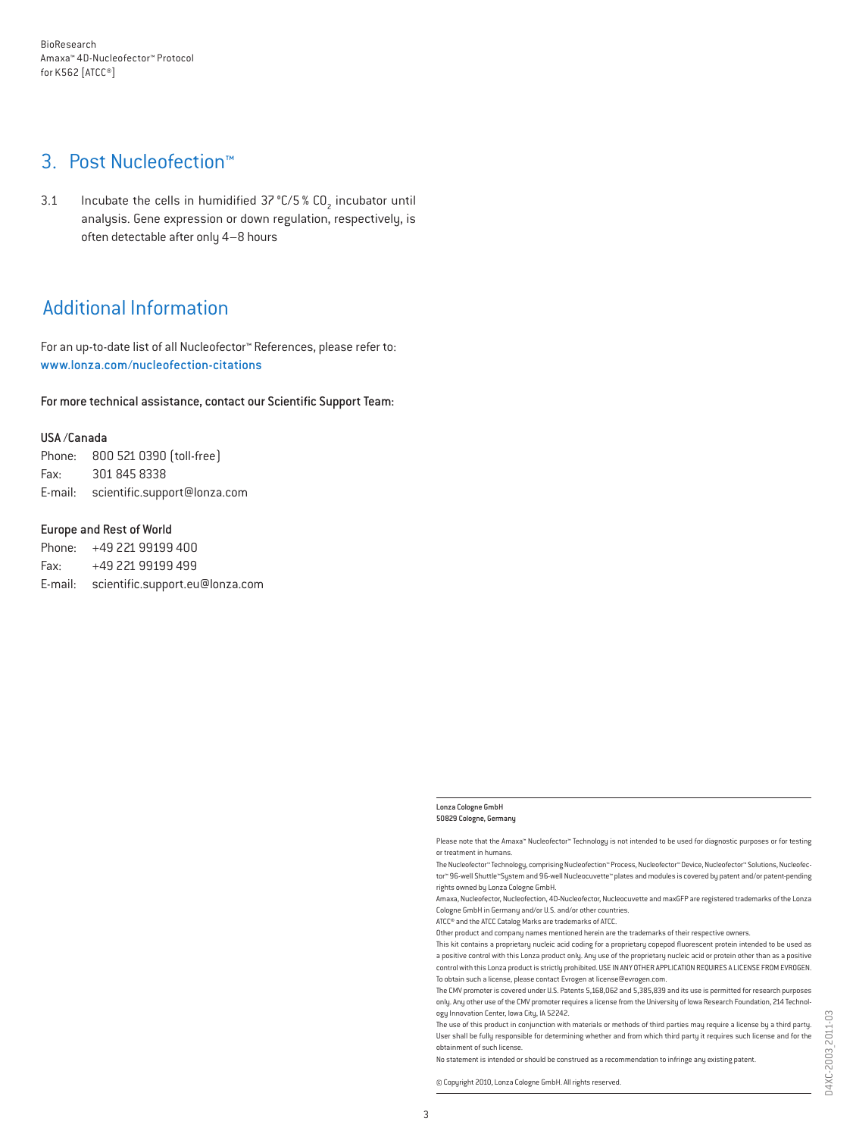### 3. Post Nucleofection™

3.1 Incubate the cells in humidified  $37^{\circ}$ C/5 % CO<sub>2</sub> incubator until analysis. Gene expression or down regulation, respectively, is often detectable after only 4–8 hours

## Additional Information

For an up-to-date list of all Nucleofector™ References, please refer to: www.lonza.com/nucleofection-citations

For more technical assistance, contact our Scientific Support Team:

#### USA /Canada

Phone: 800 521 0390 (toll-free) Fax: 301 845 8338 E-mail: scientific.support@lonza.com

#### Europe and Rest of World

Phone: +49 221 99199 400 Fax: +49 221 99199 499 E-mail: scientific.support.eu@lonza.com

#### Lonza Cologne GmbH 50829 Cologne, Germany

Please note that the Amaxa™ Nucleofector™ Technology is not intended to be used for diagnostic purposes or for testing or treatment in humans.

The Nucleofector™ Technology, comprising Nucleofection™ Process, Nucleofector™ Device, Nucleofector™ Solutions, Nucleofector™ 96-well Shuttle™System and 96-well Nucleocuvette™ plates and modules is covered by patent and/or patent-pending rights owned by Lonza Cologne GmbH.

Amaxa, Nucleofector, Nucleofection, 4D-Nucleofector, Nucleocuvette and maxGFP are registered trademarks of the Lonza Cologne GmbH in Germany and/or U.S. and/or other countries.

ATCC® and the ATCC Catalog Marks are trademarks of ATCC.

Other product and company names mentioned herein are the trademarks of their respective owners.

This kit contains a proprietary nucleic acid coding for a proprietary copepod fluorescent protein intended to be used as a positive control with this Lonza product only. Any use of the proprietary nucleic acid or protein other than as a positive control with this Lonza product is strictly prohibited. USE IN ANY OTHER APPLICATION REQUIRES A LICENSE FROM EVROGEN. To obtain such a license, please contact Evrogen at license@evrogen.com.

The CMV promoter is covered under U.S. Patents 5,168,062 and 5,385,839 and its use is permitted for research purposes only. Any other use of the CMV promoter requires a license from the University of Iowa Research Foundation, 214 Technology Innovation Center, Iowa City, IA 52242.

The use of this product in conjunction with materials or methods of third parties may require a license by a third party. User shall be fully responsible for determining whether and from which third party it requires such license and for the obtainment of such license.

No statement is intended or should be construed as a recommendation to infringe any existing patent.

© Copyright 2010, Lonza Cologne GmbH. All rights reserved.